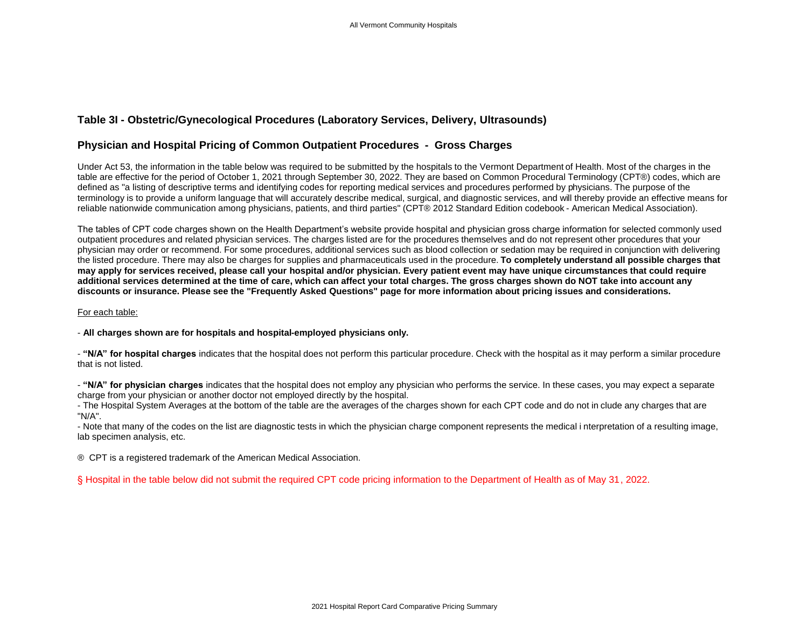## **Table 3I - Obstetric/Gynecological Procedures (Laboratory Services, Delivery, Ultrasounds)**

## **Physician and Hospital Pricing of Common Outpatient Procedures - Gross Charges**

Under Act 53, the information in the table below was required to be submitted by the hospitals to the Vermont Department of Health. Most of the charges in the table are effective for the period of October 1, 2021 through September 30, 2022. They are based on Common Procedural Terminology (CPT®) codes, which are defined as "a listing of descriptive terms and identifying codes for reporting medical services and procedures performed by physicians. The purpose of the terminology is to provide a uniform language that will accurately describe medical, surgical, and diagnostic services, and will thereby provide an effective means for reliable nationwide communication among physicians, patients, and third parties" (CPT® 2012 Standard Edition codebook - American Medical Association).

The tables of CPT code charges shown on the Health Department's website provide hospital and physician gross charge information for selected commonly used outpatient procedures and related physician services. The charges listed are for the procedures themselves and do not represent other procedures that your physician may order or recommend. For some procedures, additional services such as blood collection or sedation may be required in conjunction with delivering the listed procedure. There may also be charges for supplies and pharmaceuticals used in the procedure. **To completely understand all possible charges that may apply for services received, please call your hospital and/or physician. Every patient event may have unique circumstances that could require additional services determined at the time of care, which can affect your total charges. The gross charges shown do NOT take into account any discounts or insurance. Please see the "Frequently Asked Questions" page for more information about pricing issues and considerations.**

## For each table:

- **All charges shown are for hospitals and hospital-employed physicians only.**

- **"N/A" for hospital charges** indicates that the hospital does not perform this particular procedure. Check with the hospital as it may perform a similar procedure that is not listed.

- **"N/A" for physician charges** indicates that the hospital does not employ any physician who performs the service. In these cases, you may expect a separate charge from your physician or another doctor not employed directly by the hospital.

- The Hospital System Averages at the bottom of the table are the averages of the charges shown for each CPT code and do not in clude any charges that are "N/A".

- Note that many of the codes on the list are diagnostic tests in which the physician charge component represents the medical i nterpretation of a resulting image, lab specimen analysis, etc.

® CPT is a registered trademark of the American Medical Association.

§ Hospital in the table below did not submit the required CPT code pricing information to the Department of Health as of May 31, 2022.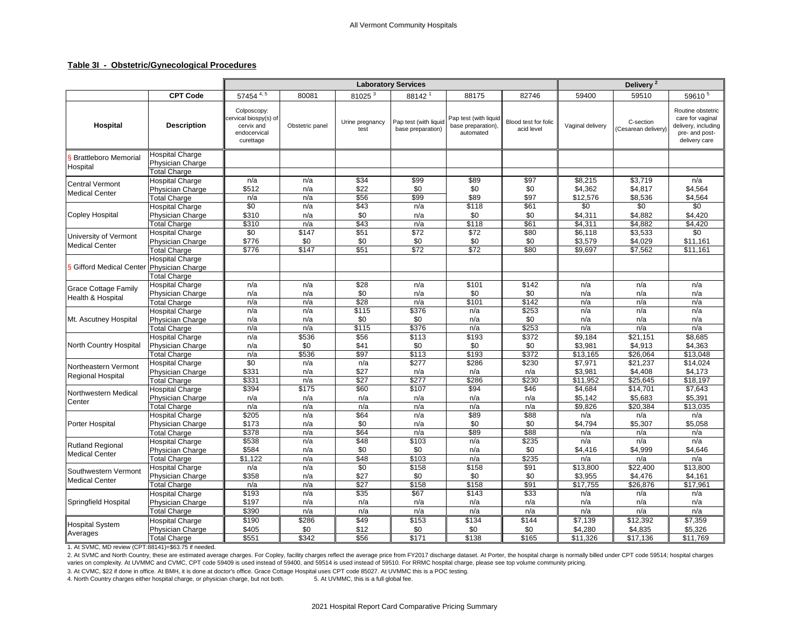## **Table 3I - Obstetric/Gynecological Procedures**

|                                                  |                                                                          |                                                                                 |                              |                                 | <b>Laboratory Services</b>                 |                                                          |                                    | Delivery <sup>2</sup>                 |                                      |                                                                                                 |
|--------------------------------------------------|--------------------------------------------------------------------------|---------------------------------------------------------------------------------|------------------------------|---------------------------------|--------------------------------------------|----------------------------------------------------------|------------------------------------|---------------------------------------|--------------------------------------|-------------------------------------------------------------------------------------------------|
|                                                  | <b>CPT Code</b>                                                          | 57454 $4, 5$                                                                    | 80081                        | 81025 <sup>3</sup>              | 88142 <sup>1</sup>                         | 88175                                                    | 82746                              | 59400                                 | 59510                                | 59610 $5$                                                                                       |
| Hospital                                         | <b>Description</b>                                                       | Colposcopy:<br>cervical biospy(s) of<br>cervix and<br>endocervical<br>curettage | Obstetric panel              | Urine pregnancy<br>test         | Pap test (with liquid<br>base preparation) | Pap test (with liquid<br>base preparation).<br>automated | Blood test for folic<br>acid level | Vaginal delivery                      | C-section<br>(Cesarean delivery)     | Routine obstetric<br>care for vaginal<br>delivery, including<br>pre- and post-<br>delivery care |
| S Brattleboro Memorial<br>Hospital               | <b>Hospital Charge</b><br>Physician Charge<br><b>Total Charge</b>        |                                                                                 |                              |                                 |                                            |                                                          |                                    |                                       |                                      |                                                                                                 |
| <b>Central Vermont</b><br><b>Medical Center</b>  | <b>Hospital Charge</b><br>Physician Charge<br><b>Total Charge</b>        | n/a<br>\$512                                                                    | n/a<br>n/a                   | \$34<br>\$22                    | \$99<br>\$0<br>\$99                        | \$89<br>\$0                                              | \$97<br>\$0                        | \$8,215<br>\$4,362                    | \$3,719<br>\$4,817                   | n/a<br>\$4,564                                                                                  |
| <b>Copley Hospital</b>                           | <b>Hospital Charge</b><br>Physician Charge<br><b>Total Charge</b>        | n/a<br>\$0<br>\$310<br>\$310                                                    | n/a<br>n/a<br>n/a            | \$56<br>\$43<br>\$0<br>\$43     | n/a<br>n/a                                 | \$89<br>\$118<br>\$0<br>\$118                            | \$97<br>\$61<br>\$0<br>\$61        | \$12,576<br>\$0<br>\$4,311<br>\$4,311 | \$8,536<br>\$0<br>\$4,882<br>\$4,882 | \$4,564<br>\$0<br>\$4,420<br>\$4,420                                                            |
| University of Vermont<br><b>Medical Center</b>   | <b>Hospital Charge</b><br>Physician Charge<br><b>Total Charge</b>        | $\sqrt{50}$<br>\$776<br>\$776                                                   | n/a<br>\$147<br>\$0<br>\$147 | $\overline{$}51$<br>\$0<br>\$51 | n/a<br>\$72<br>\$0<br>\$72                 | \$72<br>\$0<br>\$72                                      | \$80<br>\$0<br>\$80                | \$6,118<br>\$3,579<br>\$9,697         | \$3,533<br>\$4,029<br>\$7,562        | \$0<br>\$11,161<br>\$11,161                                                                     |
| S Gifford Medical Center                         | <b>Hospital Charge</b><br><b>Physician Charge</b><br><b>Total Charge</b> |                                                                                 |                              |                                 |                                            |                                                          |                                    |                                       |                                      |                                                                                                 |
| <b>Grace Cottage Family</b><br>Health & Hospital | <b>Hospital Charge</b><br>Physician Charge<br><b>Total Charge</b>        | n/a<br>n/a<br>n/a                                                               | n/a<br>n/a<br>n/a            | $\sqrt{$28}$<br>\$0<br>\$28     | n/a<br>n/a<br>n/a                          | \$101<br>\$0<br>\$101                                    | \$142<br>\$0<br>\$142              | n/a<br>n/a<br>n/a                     | n/a<br>n/a<br>n/a                    | n/a<br>n/a<br>n/a                                                                               |
| Mt. Ascutney Hospital                            | <b>Hospital Charge</b><br>Physician Charge<br><b>Total Charge</b>        | n/a<br>n/a<br>n/a                                                               | n/a<br>n/a<br>n/a            | \$115<br>\$0<br>\$115           | \$376<br>\$0<br>\$376                      | n/a<br>n/a<br>n/a                                        | \$253<br>\$0<br>\$253              | n/a<br>n/a<br>n/a                     | n/a<br>n/a<br>n/a                    | n/a<br>n/a<br>n/a                                                                               |
| North Country Hospital                           | <b>Hospital Charge</b><br>Physician Charge<br><b>Total Charge</b>        | n/a<br>n/a<br>n/a                                                               | \$536<br>\$0<br>\$536        | \$56<br>\$41<br>\$97            | \$113<br>\$0<br>\$113                      | \$193<br>\$0<br>\$193                                    | \$372<br>\$0<br>\$372              | \$9,184<br>\$3,981<br>\$13,165        | \$21,151<br>\$4,913<br>\$26,064      | \$8,685<br>\$4,363<br>\$13,048                                                                  |
| Northeastern Vermont<br>Regional Hospital        | <b>Hospital Charge</b><br>Physician Charge<br><b>Total Charge</b>        | \$0<br>\$331<br>\$331                                                           | n/a<br>n/a<br>n/a            | n/a<br>\$27<br>\$27             | \$277<br>n/a<br>\$277                      | \$286<br>n/a<br>\$286                                    | \$230<br>n/a<br>\$230              | \$7,971<br>\$3,981<br>\$11,952        | \$21,237<br>\$4,408<br>\$25,645      | \$14,024<br>\$4,173<br>\$18,197                                                                 |
| Northwestern Medical<br>Center                   | <b>Hospital Charge</b><br>Physician Charge<br><b>Total Charge</b>        | \$394<br>n/a<br>n/a                                                             | \$175<br>n/a<br>n/a          | \$60<br>n/a<br>n/a              | \$107<br>n/a<br>n/a                        | \$94<br>n/a<br>n/a                                       | \$46<br>n/a<br>n/a                 | \$4,684<br>\$5,142<br>\$9,826         | \$14,701<br>\$5,683<br>\$20,384      | \$7,643<br>\$5,391<br>\$13,035                                                                  |
| Porter Hospital                                  | <b>Hospital Charge</b><br>Physician Charge<br><b>Total Charge</b>        | \$205<br>\$173<br>\$378                                                         | n/a<br>n/a<br>n/a            | \$64<br>\$0<br>\$64             | n/a<br>n/a<br>n/a                          | \$89<br>\$0<br>\$89                                      | \$88<br>\$0<br>\$88                | n/a<br>\$4,794<br>n/a                 | n/a<br>\$5,307<br>n/a                | n/a<br>\$5,058<br>n/a                                                                           |
| <b>Rutland Regional</b><br><b>Medical Center</b> | <b>Hospital Charge</b><br>Physician Charge<br><b>Total Charge</b>        | \$538<br>\$584<br>\$1,122                                                       | n/a<br>n/a<br>n/a            | \$48<br>\$0<br>\$48             | \$103<br>\$0<br>\$103                      | n/a<br>n/a<br>n/a                                        | \$235<br>\$0<br>\$235              | n/a<br>\$4,416<br>n/a                 | n/a<br>\$4,999<br>n/a                | n/a<br>\$4,646<br>n/a                                                                           |
| Southwestern Vermont<br><b>Medical Center</b>    | <b>Hospital Charge</b><br>Physician Charge<br><b>Total Charge</b>        | n/a<br>\$358<br>n/a                                                             | n/a<br>n/a<br>n/a            | \$0<br>\$27<br>$\overline{$27}$ | \$158<br>\$0<br>\$158                      | \$158<br>\$0<br>\$158                                    | $\overline{$91}$<br>\$0<br>\$91    | \$13,800<br>\$3,955<br>\$17,755       | \$22,400<br>\$4,476<br>\$26,876      | \$13,800<br>\$4,161<br>\$17,961                                                                 |
| Springfield Hospital                             | <b>Hospital Charge</b><br>Physician Charge<br><b>Total Charge</b>        | \$193<br>\$197<br>\$390                                                         | n/a<br>n/a<br>n/a            | \$35<br>n/a<br>n/a              | \$67<br>n/a<br>n/a                         | \$143<br>n/a<br>n/a                                      | \$33<br>n/a<br>n/a                 | n/a<br>n/a<br>n/a                     | n/a<br>n/a<br>n/a                    | n/a<br>n/a<br>n/a                                                                               |
| <b>Hospital System</b><br>Averages               | <b>Hospital Charge</b><br>Physician Charge<br><b>Total Charge</b>        | \$190<br>\$405<br>\$551                                                         | \$286<br>\$0<br>\$342        | \$49<br>\$12<br>\$56            | \$153<br>\$0<br>\$171                      | \$134<br>\$0<br>\$138                                    | \$144<br>\$0<br>\$165              | \$7,139<br>\$4,280<br>\$11,326        | \$12,392<br>\$4,835<br>\$17,136      | \$7,359<br>\$5,326<br>\$11,769                                                                  |

1. At SVMC, MD review (CPT:88141)=\$63.75 if needed.

2. At SVMC and North Country, these are estimated average charges. For Copley, facility charges reflect the average price from FY2017 discharge dataset. At Porter, the hospital charge is normally billed under CPT code 5951 varies on complexity. At UVMMC and CVMC, CPT code 59409 is used instead of 59400, and 59514 is used instead of 59510. For RRMC hospital charge, please see top volume community pricing.

3. At CVMC, \$22 if done in office. At BMH, it is done at doctor's office. Grace Cottage Hospital uses CPT code 85027. At UVMMC this is a POC testing.

4. North Country charges either hospital charge, or physician charge, but not both. 5. At UVMMC, this is a full global fee.